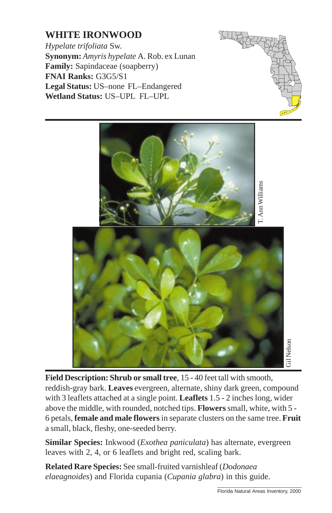## **WHITE IRONWOOD**

*Hypelate trifoliata* Sw. **Synonym:** *Amyris hypelate* A. Rob. ex Lunan **Family:** Sapindaceae (soapberry) **FNAI Ranks:** G3G5/S1 **Legal Status:** US–none FL–Endangered **Wetland Status:** US–UPL FL–UPL





**Field Description: Shrub or small tree**, 15 - 40 feet tall with smooth, reddish-gray bark. **Leaves** evergreen, alternate, shiny dark green, compound with 3 leaflets attached at a single point. **Leaflets** 1.5 - 2 inches long, wider above the middle, with rounded, notched tips. **Flowers** small, white, with 5 - 6 petals, **female and male flowers** in separate clusters on the same tree. **Fruit** a small, black, fleshy, one-seeded berry.

**Similar Species:** Inkwood (*Exothea paniculata*) has alternate, evergreen leaves with 2, 4, or 6 leaflets and bright red, scaling bark.

**Related Rare Species:** See small-fruited varnishleaf (*Dodonaea elaeagnoides*) and Florida cupania (*Cupania glabra*) in this guide.